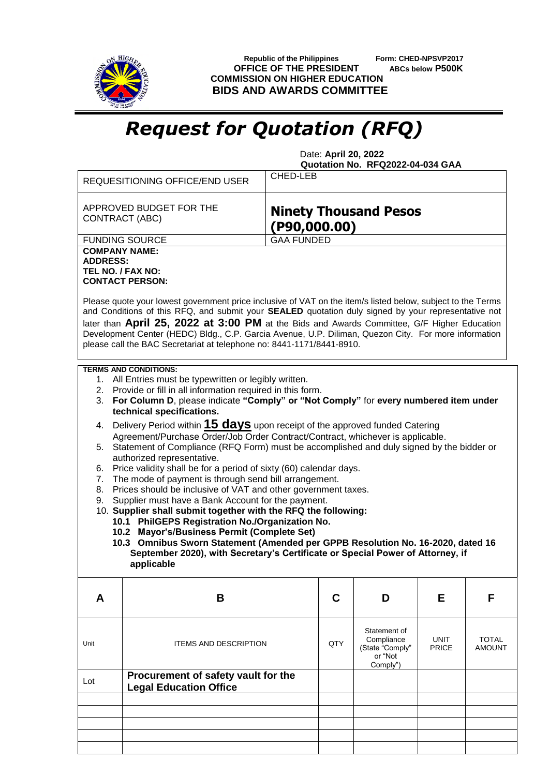

 **Republic of the Philippines Form: CHED-NPSVP2017 OFFICE OF THE PRESIDENT ABCs below P500K COMMISSION ON HIGHER EDUCATION BIDS AND AWARDS COMMITTEE**

## *Request for Quotation (RFQ)*

 Date: **April 20, 2022 Quotation No. RFQ2022-04-034 GAA**

|                                                                                                                                                                                                                                                                                                                                                                                                                                                                                                    | CHED-LEB<br><b>REQUESITIONING OFFICE/END USER</b>                                                                                                                                                                                           |  |     |                                                                      |                      |                               |  |  |
|----------------------------------------------------------------------------------------------------------------------------------------------------------------------------------------------------------------------------------------------------------------------------------------------------------------------------------------------------------------------------------------------------------------------------------------------------------------------------------------------------|---------------------------------------------------------------------------------------------------------------------------------------------------------------------------------------------------------------------------------------------|--|-----|----------------------------------------------------------------------|----------------------|-------------------------------|--|--|
|                                                                                                                                                                                                                                                                                                                                                                                                                                                                                                    | APPROVED BUDGET FOR THE<br><b>Ninety Thousand Pesos</b><br><b>CONTRACT (ABC)</b><br>( P90, 000.00)                                                                                                                                          |  |     |                                                                      |                      |                               |  |  |
| <b>FUNDING SOURCE</b><br><b>GAA FUNDED</b>                                                                                                                                                                                                                                                                                                                                                                                                                                                         |                                                                                                                                                                                                                                             |  |     |                                                                      |                      |                               |  |  |
| <b>COMPANY NAME:</b><br><b>ADDRESS:</b><br>TEL NO. / FAX NO:                                                                                                                                                                                                                                                                                                                                                                                                                                       | <b>CONTACT PERSON:</b>                                                                                                                                                                                                                      |  |     |                                                                      |                      |                               |  |  |
| Please quote your lowest government price inclusive of VAT on the item/s listed below, subject to the Terms<br>and Conditions of this RFQ, and submit your SEALED quotation duly signed by your representative not<br>later than April 25, 2022 at 3:00 PM at the Bids and Awards Committee, G/F Higher Education<br>Development Center (HEDC) Bldg., C.P. Garcia Avenue, U.P. Diliman, Quezon City. For more information<br>please call the BAC Secretariat at telephone no: 8441-1171/8441-8910. |                                                                                                                                                                                                                                             |  |     |                                                                      |                      |                               |  |  |
|                                                                                                                                                                                                                                                                                                                                                                                                                                                                                                    | <b>TERMS AND CONDITIONS:</b>                                                                                                                                                                                                                |  |     |                                                                      |                      |                               |  |  |
| 3.                                                                                                                                                                                                                                                                                                                                                                                                                                                                                                 | 1. All Entries must be typewritten or legibly written.<br>2. Provide or fill in all information required in this form.<br>For Column D, please indicate "Comply" or "Not Comply" for every numbered item under<br>technical specifications. |  |     |                                                                      |                      |                               |  |  |
| Delivery Period within 15 days upon receipt of the approved funded Catering<br>4.<br>Agreement/Purchase Order/Job Order Contract/Contract, whichever is applicable.                                                                                                                                                                                                                                                                                                                                |                                                                                                                                                                                                                                             |  |     |                                                                      |                      |                               |  |  |
| 5. Statement of Compliance (RFQ Form) must be accomplished and duly signed by the bidder or<br>authorized representative.                                                                                                                                                                                                                                                                                                                                                                          |                                                                                                                                                                                                                                             |  |     |                                                                      |                      |                               |  |  |
| 6.                                                                                                                                                                                                                                                                                                                                                                                                                                                                                                 | Price validity shall be for a period of sixty (60) calendar days.                                                                                                                                                                           |  |     |                                                                      |                      |                               |  |  |
| 7.<br>8.                                                                                                                                                                                                                                                                                                                                                                                                                                                                                           | The mode of payment is through send bill arrangement.<br>Prices should be inclusive of VAT and other government taxes.                                                                                                                      |  |     |                                                                      |                      |                               |  |  |
| 9.                                                                                                                                                                                                                                                                                                                                                                                                                                                                                                 | Supplier must have a Bank Account for the payment.                                                                                                                                                                                          |  |     |                                                                      |                      |                               |  |  |
|                                                                                                                                                                                                                                                                                                                                                                                                                                                                                                    | 10. Supplier shall submit together with the RFQ the following:                                                                                                                                                                              |  |     |                                                                      |                      |                               |  |  |
|                                                                                                                                                                                                                                                                                                                                                                                                                                                                                                    | 10.1 PhilGEPS Registration No./Organization No.<br>10.2 Mayor's/Business Permit (Complete Set)                                                                                                                                              |  |     |                                                                      |                      |                               |  |  |
|                                                                                                                                                                                                                                                                                                                                                                                                                                                                                                    | 10.3 Omnibus Sworn Statement (Amended per GPPB Resolution No. 16-2020, dated 16                                                                                                                                                             |  |     |                                                                      |                      |                               |  |  |
| September 2020), with Secretary's Certificate or Special Power of Attorney, if<br>applicable                                                                                                                                                                                                                                                                                                                                                                                                       |                                                                                                                                                                                                                                             |  |     |                                                                      |                      |                               |  |  |
| A                                                                                                                                                                                                                                                                                                                                                                                                                                                                                                  | В                                                                                                                                                                                                                                           |  | C   | D                                                                    | Е                    | F                             |  |  |
|                                                                                                                                                                                                                                                                                                                                                                                                                                                                                                    |                                                                                                                                                                                                                                             |  |     |                                                                      |                      |                               |  |  |
| Unit                                                                                                                                                                                                                                                                                                                                                                                                                                                                                               | <b>ITEMS AND DESCRIPTION</b>                                                                                                                                                                                                                |  | QTY | Statement of<br>Compliance<br>(State "Comply"<br>or "Not<br>Comply") | UNIT<br><b>PRICE</b> | <b>TOTAL</b><br><b>AMOUNT</b> |  |  |
| Lot                                                                                                                                                                                                                                                                                                                                                                                                                                                                                                | Procurement of safety vault for the<br><b>Legal Education Office</b>                                                                                                                                                                        |  |     |                                                                      |                      |                               |  |  |
|                                                                                                                                                                                                                                                                                                                                                                                                                                                                                                    |                                                                                                                                                                                                                                             |  |     |                                                                      |                      |                               |  |  |
|                                                                                                                                                                                                                                                                                                                                                                                                                                                                                                    |                                                                                                                                                                                                                                             |  |     |                                                                      |                      |                               |  |  |
|                                                                                                                                                                                                                                                                                                                                                                                                                                                                                                    |                                                                                                                                                                                                                                             |  |     |                                                                      |                      |                               |  |  |
|                                                                                                                                                                                                                                                                                                                                                                                                                                                                                                    |                                                                                                                                                                                                                                             |  |     |                                                                      |                      |                               |  |  |
|                                                                                                                                                                                                                                                                                                                                                                                                                                                                                                    |                                                                                                                                                                                                                                             |  |     |                                                                      |                      |                               |  |  |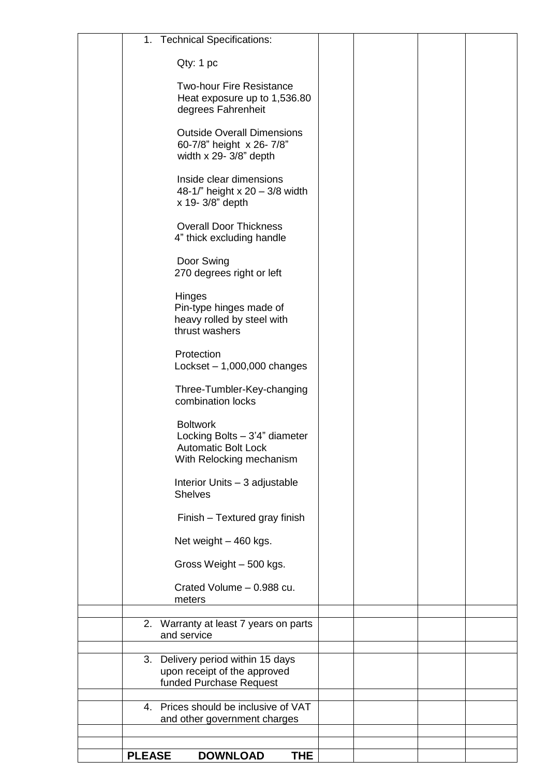| <b>Technical Specifications:</b><br>1.                                                                     |  |  |
|------------------------------------------------------------------------------------------------------------|--|--|
| Qty: 1 pc                                                                                                  |  |  |
| <b>Two-hour Fire Resistance</b><br>Heat exposure up to 1,536.80<br>degrees Fahrenheit                      |  |  |
| <b>Outside Overall Dimensions</b><br>60-7/8" height x 26-7/8"<br>width $x$ 29- 3/8" depth                  |  |  |
| Inside clear dimensions<br>48-1/" height x 20 - 3/8 width<br>x 19-3/8" depth                               |  |  |
| <b>Overall Door Thickness</b><br>4" thick excluding handle                                                 |  |  |
| Door Swing<br>270 degrees right or left                                                                    |  |  |
| Hinges<br>Pin-type hinges made of<br>heavy rolled by steel with<br>thrust washers                          |  |  |
| Protection<br>Lockset $-1,000,000$ changes                                                                 |  |  |
| Three-Tumbler-Key-changing<br>combination locks                                                            |  |  |
| <b>Boltwork</b><br>Locking Bolts - 3'4" diameter<br><b>Automatic Bolt Lock</b><br>With Relocking mechanism |  |  |
| Interior Units - 3 adjustable<br><b>Shelves</b>                                                            |  |  |
| Finish - Textured gray finish                                                                              |  |  |
| Net weight - 460 kgs.                                                                                      |  |  |
| Gross Weight - 500 kgs.                                                                                    |  |  |
| Crated Volume - 0.988 cu.<br>meters                                                                        |  |  |
| 2. Warranty at least 7 years on parts                                                                      |  |  |
| and service                                                                                                |  |  |
| 3. Delivery period within 15 days<br>upon receipt of the approved<br>funded Purchase Request               |  |  |
| 4. Prices should be inclusive of VAT<br>and other government charges                                       |  |  |
|                                                                                                            |  |  |
| <b>PLEASE</b><br><b>DOWNLOAD</b><br><b>THE</b>                                                             |  |  |